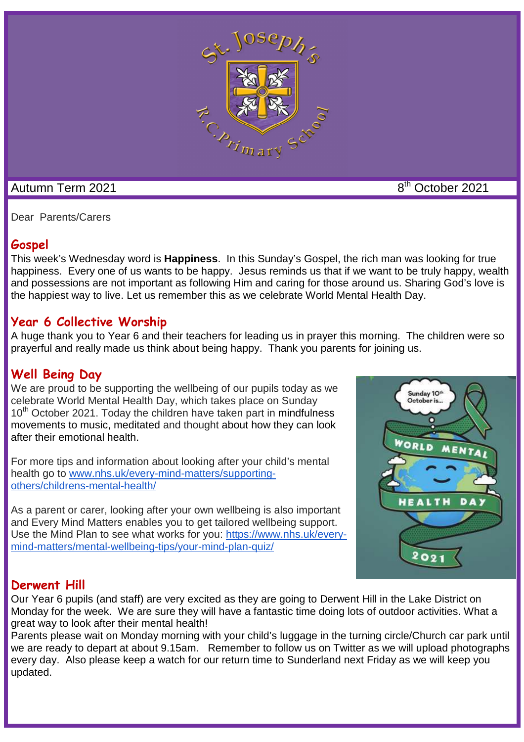

# Autumn Term 2021 **8th** October 2021

Dear Parents/Carers

# **Gospel**

This week's Wednesday word is **Happiness**.In this Sunday's Gospel, the rich man was looking for true happiness. Every one of us wants to be happy. Jesus reminds us that if we want to be truly happy, wealth and possessions are not important as following Him and caring for those around us. Sharing God's love is the happiest way to live. Let us remember this as we celebrate World Mental Health Day.

# **Year 6 Collective Worship**

A huge thank you to Year 6 and their teachers for leading us in prayer this morning. The children were so prayerful and really made us think about being happy. Thank you parents for joining us.

# **Well Being Day**

We are proud to be supporting the wellbeing of our pupils today as we celebrate World Mental Health Day, which takes place on Sunday  $10<sup>th</sup>$  October 2021. Today the children have taken part in mindfulness movements to music, meditated and thought about how they can look after their emotional health.

For more tips and information about looking after your child's mental health go to www.nhs.uk/every-mind-matters/supportingothers/childrens-mental-health/

As a parent or carer, looking after your own wellbeing is also important and Every Mind Matters enables you to get tailored wellbeing support. Use the Mind Plan to see what works for you: https://www.nhs.uk/everymind-matters/mental-wellbeing-tips/your-mind-plan-quiz/



### **Derwent Hill**

Our Year 6 pupils (and staff) are very excited as they are going to Derwent Hill in the Lake District on Monday for the week. We are sure they will have a fantastic time doing lots of outdoor activities. What a great way to look after their mental health!

Parents please wait on Monday morning with your child's luggage in the turning circle/Church car park until we are ready to depart at about 9.15am. Remember to follow us on Twitter as we will upload photographs every day. Also please keep a watch for our return time to Sunderland next Friday as we will keep you updated.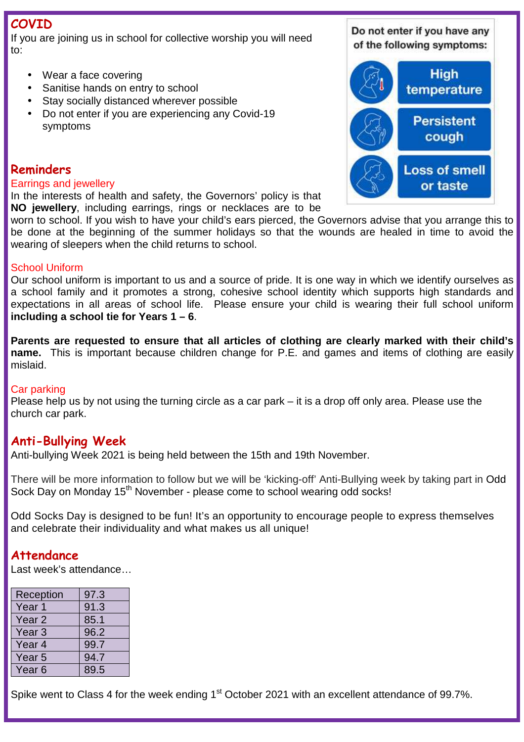# **COVID**

If you are joining us in school for collective worship you will need to:

- Wear a face covering
- Sanitise hands on entry to school
- Stay socially distanced wherever possible
- Do not enter if you are experiencing any Covid-19 symptoms

### **Reminders**

#### Earrings and jewellery

In the interests of health and safety, the Governors' policy is that **NO jewellery**, including earrings, rings or necklaces are to be

worn to school. If you wish to have your child's ears pierced, the Governors advise that you arrange this to be done at the beginning of the summer holidays so that the wounds are healed in time to avoid the wearing of sleepers when the child returns to school.

#### School Uniform

Our school uniform is important to us and a source of pride. It is one way in which we identify ourselves as a school family and it promotes a strong, cohesive school identity which supports high standards and expectations in all areas of school life. Please ensure your child is wearing their full school uniform **including a school tie for Years 1 – 6**.

**Parents are requested to ensure that all articles of clothing are clearly marked with their child's name.** This is important because children change for P.E. and games and items of clothing are easily mislaid.

#### Car parking

Please help us by not using the turning circle as a car park – it is a drop off only area. Please use the church car park.

# **Anti-Bullying Week**

Anti-bullying Week 2021 is being held between the 15th and 19th November.

There will be more information to follow but we will be 'kicking-off' Anti-Bullying week by taking part in Odd Sock Day on Monday 15<sup>th</sup> November - please come to school wearing odd socks!

Odd Socks Day is designed to be fun! It's an opportunity to encourage people to express themselves and celebrate their individuality and what makes us all unique!

### **Attendance**

Last week's attendance…

| 97.3 |
|------|
| 91.3 |
| 85.1 |
| 96.2 |
| 99.7 |
| 94.7 |
| 89.5 |
|      |

Spike went to Class 4 for the week ending 1<sup>st</sup> October 2021 with an excellent attendance of 99.7%.

Do not enter if you have any of the following symptoms:

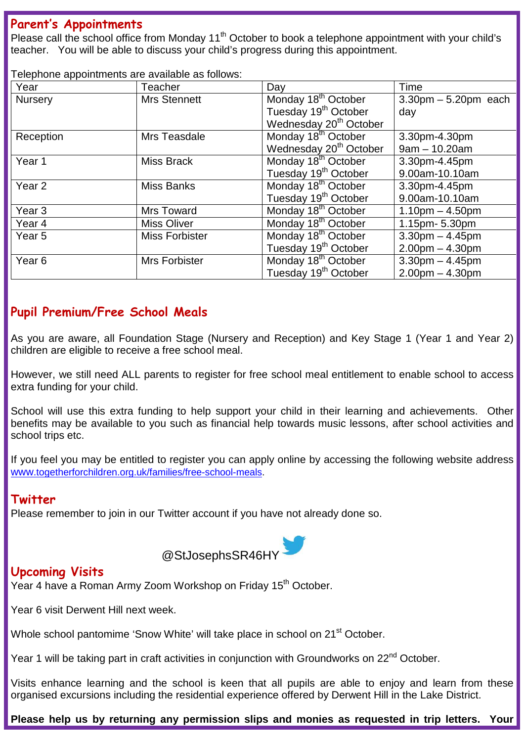### **Parent's Appointments**

Please call the school office from Monday 11<sup>th</sup> October to book a telephone appointment with your child's teacher. You will be able to discuss your child's progress during this appointment.

Telephone appointments are available as follows:

| Year              | Teacher               | Day                                | Time                      |
|-------------------|-----------------------|------------------------------------|---------------------------|
| <b>Nursery</b>    | <b>Mrs Stennett</b>   | Monday 18 <sup>th</sup> October    | $3.30$ pm $-5.20$ pm each |
|                   |                       | Tuesday 19 <sup>th</sup> October   | day                       |
|                   |                       | Wednesday 20 <sup>th</sup> October |                           |
| Reception         | Mrs Teasdale          | Monday 18 <sup>th</sup> October    | 3.30pm-4.30pm             |
|                   |                       | Wednesday 20 <sup>th</sup> October | $9am - 10.20am$           |
| Year 1            | <b>Miss Brack</b>     | Monday 18 <sup>th</sup> October    | 3.30pm-4.45pm             |
|                   |                       | Tuesday 19 <sup>th</sup> October   | 9.00am-10.10am            |
| Year <sub>2</sub> | <b>Miss Banks</b>     | Monday 18 <sup>th</sup> October    | 3.30pm-4.45pm             |
|                   |                       | Tuesday 19 <sup>th</sup> October   | 9.00am-10.10am            |
| Year <sub>3</sub> | <b>Mrs Toward</b>     | Monday 18 <sup>th</sup> October    | $1.10pm - 4.50pm$         |
| Year <sub>4</sub> | <b>Miss Oliver</b>    | Monday 18 <sup>th</sup> October    | 1.15pm- 5.30pm            |
| Year <sub>5</sub> | <b>Miss Forbister</b> | Monday 18 <sup>th</sup> October    | $3.30pm - 4.45pm$         |
|                   |                       | Tuesday 19 <sup>th</sup> October   | $2.00pm - 4.30pm$         |
| Year <sub>6</sub> | Mrs Forbister         | Monday 18 <sup>th</sup> October    | $3.30$ pm $- 4.45$ pm     |
|                   |                       | Tuesday 19 <sup>th</sup> October   | $2.00pm - 4.30pm$         |

# **Pupil Premium/Free School Meals**

As you are aware, all Foundation Stage (Nursery and Reception) and Key Stage 1 (Year 1 and Year 2) children are eligible to receive a free school meal.

However, we still need ALL parents to register for free school meal entitlement to enable school to access extra funding for your child.

School will use this extra funding to help support your child in their learning and achievements. Other benefits may be available to you such as financial help towards music lessons, after school activities and school trips etc.

If you feel you may be entitled to register you can apply online by accessing the following website address www.togetherforchildren.org.uk/families/free-school-meals.

### **Twitter**

Please remember to join in our Twitter account if you have not already done so.



### **Upcoming Visits**

Year 4 have a Roman Army Zoom Workshop on Friday 15<sup>th</sup> October.

Year 6 visit Derwent Hill next week.

Whole school pantomime 'Snow White' will take place in school on 21<sup>st</sup> October.

Year 1 will be taking part in craft activities in conjunction with Groundworks on 22<sup>nd</sup> October.

Visits enhance learning and the school is keen that all pupils are able to enjoy and learn from these organised excursions including the residential experience offered by Derwent Hill in the Lake District.

**Please help us by returning any permission slips and monies as requested in trip letters. Your**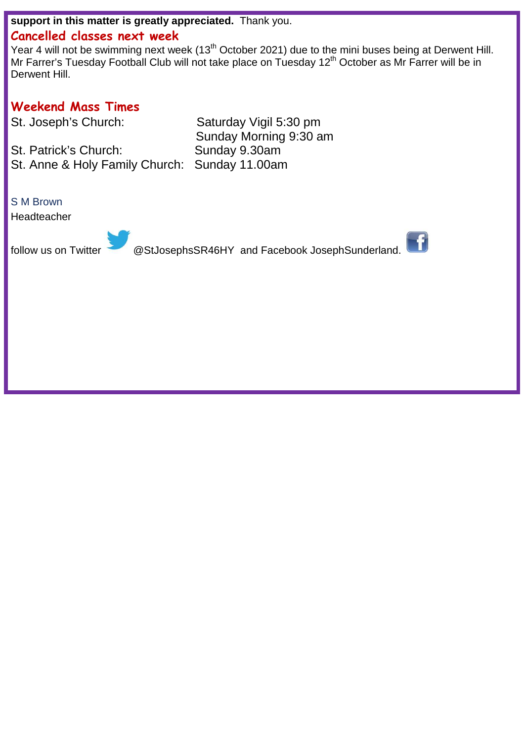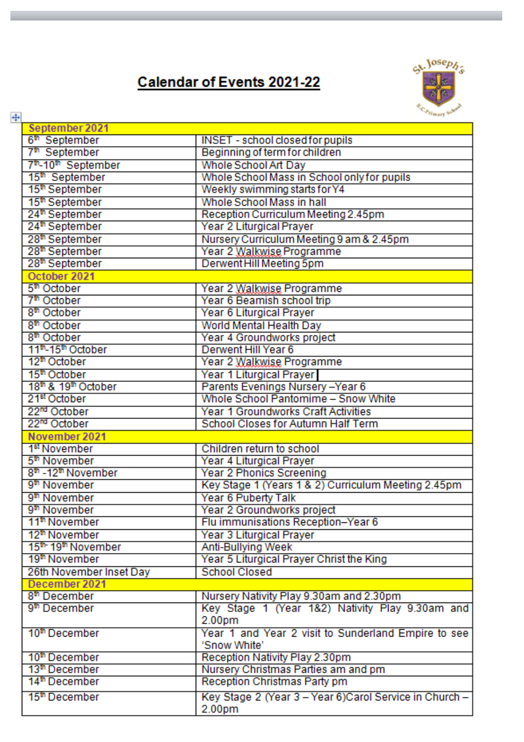# **Calendar of Events 2021-22**



| $\ddot{\ddagger}$                           | Primary St.                                             |
|---------------------------------------------|---------------------------------------------------------|
| September 2021                              |                                                         |
| 6 <sup>th</sup> September                   | <b>INSET - school closed for pupils</b>                 |
| 7 <sup>th</sup> September                   | Beginning of term for children                          |
| 7 <sup>th</sup> -10 <sup>th</sup> September | Whole School Art Day                                    |
| 15 <sup>th</sup> September                  | Whole School Mass in School only for pupils             |
| 15 <sup>th</sup> September                  | Weekly swimming starts for Y4                           |
| 15 <sup>th</sup> September                  | Whole School Mass in hall                               |
| 24 <sup>th</sup> September                  | Reception Curriculum Meeting 2.45pm                     |
| 24 <sup>th</sup> September                  | Year 2 Liturgical Prayer                                |
| 28 <sup>th</sup> September                  | Nursery Curriculum Meeting 9 am & 2.45pm                |
| 28 <sup>th</sup> September                  | Year 2 Walkwise Programme                               |
| 28 <sup>th</sup> September                  | Derwent Hill Meeting 5pm                                |
| October 2021                                |                                                         |
| 5 <sup>th</sup> October                     | Year 2 Walkwise Programme                               |
| 7 <sup>th</sup> October                     | Year 6 Beamish school trip                              |
| 8 <sup>th</sup> October                     | Year 6 Liturgical Prayer                                |
| 8 <sup>th</sup> October                     | World Mental Health Day                                 |
| 8 <sup>th</sup> October                     | Year 4 Groundworks project                              |
| 11 <sup>th</sup> -15 <sup>th</sup> October  | Derwent Hill Year 6                                     |
| 12 <sup>th</sup> October                    | Year 2 Walkwise Programme                               |
| 15 <sup>th</sup> October                    | Year 1 Liturgical Prayer                                |
| 18 <sup>th</sup> & 19 <sup>th</sup> October | Parents Evenings Nursery-Year 6                         |
| 21 <sup>st</sup> October                    | Whole School Pantomime - Snow White                     |
| 22 <sup>nd</sup> October                    | Year 1 Groundworks Craft Activities                     |
| 22 <sup>nd</sup> October                    | School Closes for Autumn Half Term                      |
| November 2021                               |                                                         |
| 1 <sup>st</sup> November                    | Children return to school                               |
| 5 <sup>th</sup> November                    | Year 4 Liturgical Prayer                                |
| 8 <sup>th</sup> -12 <sup>th</sup> November  | Year 2 Phonics Screening                                |
| 9 <sup>th</sup> November                    | Key Stage 1 (Years 1 & 2) Curriculum Meeting 2.45pm     |
| 9 <sup>th</sup> November                    | Year 6 Puberty Talk                                     |
| 9 <sup>th</sup> November                    | Year 2 Groundworks project                              |
| 11 <sup>th</sup> November                   | Flu immunisations Reception-Year 6                      |
| 12 <sup>th</sup> November                   | Year 3 Liturgical Prayer                                |
| 15 <sup>th</sup> 19 <sup>th</sup> November  | Anti-Bullying Week                                      |
| 19 <sup>th</sup> November                   | Year 5 Liturgical Prayer Christ the King                |
| 26th November Inset Day                     | <b>School Closed</b>                                    |
| December 2021                               |                                                         |
| 8 <sup>th</sup> December                    | Nursery Nativity Play 9.30am and 2.30pm                 |
| 9 <sup>th</sup> December                    | Key Stage 1 (Year 1&2) Nativity Play 9.30am and         |
|                                             | 2.00pm                                                  |
| 10 <sup>th</sup> December                   | Year 1 and Year 2 visit to Sunderland Empire to see     |
|                                             | 'Snow White'                                            |
| 10 <sup>th</sup> December                   | Reception Nativity Play 2.30pm                          |
| 13 <sup>th</sup> December                   | Nursery Christmas Parties am and pm                     |
| 14 <sup>th</sup> December                   | Reception Christmas Party pm                            |
| 15 <sup>th</sup> December                   | Key Stage 2 (Year 3 - Year 6) Carol Service in Church - |
|                                             | 2.00pm                                                  |